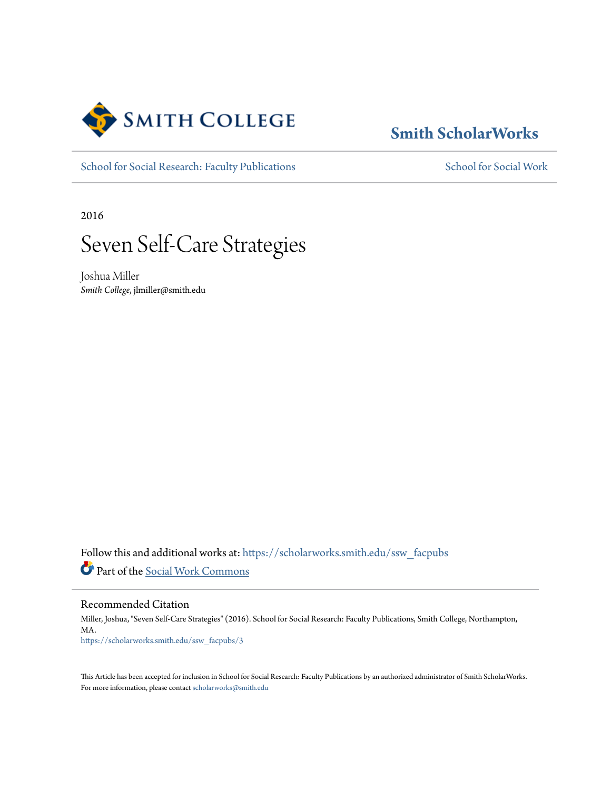

# **[Smith ScholarWorks](https://scholarworks.smith.edu/?utm_source=scholarworks.smith.edu%2Fssw_facpubs%2F3&utm_medium=PDF&utm_campaign=PDFCoverPages)**

[School for Social Research: Faculty Publications](https://scholarworks.smith.edu/ssw_facpubs?utm_source=scholarworks.smith.edu%2Fssw_facpubs%2F3&utm_medium=PDF&utm_campaign=PDFCoverPages) [School for Social Work](https://scholarworks.smith.edu/ssw?utm_source=scholarworks.smith.edu%2Fssw_facpubs%2F3&utm_medium=PDF&utm_campaign=PDFCoverPages)

2016

Seven Self-Care Strategies

Joshua Miller *Smith College*, jlmiller@smith.edu

Follow this and additional works at: [https://scholarworks.smith.edu/ssw\\_facpubs](https://scholarworks.smith.edu/ssw_facpubs?utm_source=scholarworks.smith.edu%2Fssw_facpubs%2F3&utm_medium=PDF&utm_campaign=PDFCoverPages) Part of the [Social Work Commons](http://network.bepress.com/hgg/discipline/713?utm_source=scholarworks.smith.edu%2Fssw_facpubs%2F3&utm_medium=PDF&utm_campaign=PDFCoverPages)

Recommended Citation Miller, Joshua, "Seven Self-Care Strategies" (2016). School for Social Research: Faculty Publications, Smith College, Northampton, MA. [https://scholarworks.smith.edu/ssw\\_facpubs/3](https://scholarworks.smith.edu/ssw_facpubs/3?utm_source=scholarworks.smith.edu%2Fssw_facpubs%2F3&utm_medium=PDF&utm_campaign=PDFCoverPages)

This Article has been accepted for inclusion in School for Social Research: Faculty Publications by an authorized administrator of Smith ScholarWorks. For more information, please contact [scholarworks@smith.edu](mailto:scholarworks@smith.edu)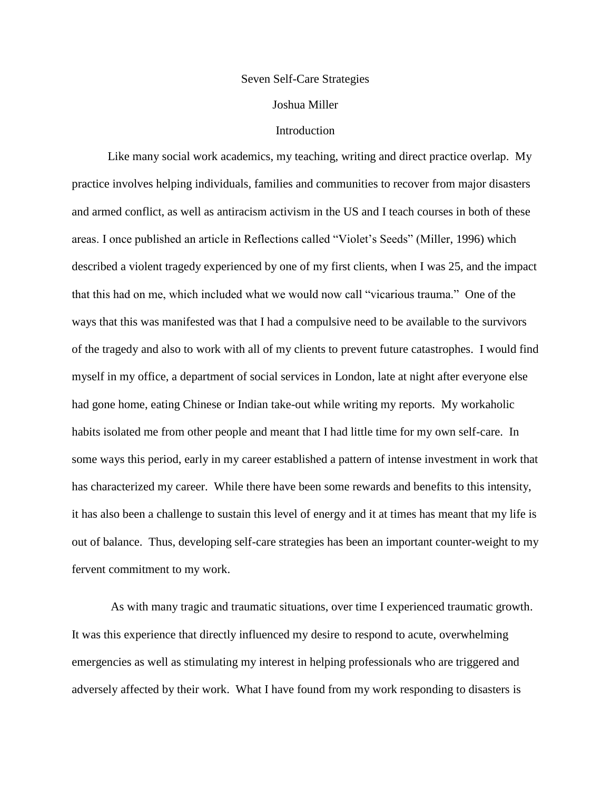# Seven Self-Care Strategies Joshua Miller

# Introduction

Like many social work academics, my teaching, writing and direct practice overlap. My practice involves helping individuals, families and communities to recover from major disasters and armed conflict, as well as antiracism activism in the US and I teach courses in both of these areas. I once published an article in Reflections called "Violet's Seeds" (Miller, 1996) which described a violent tragedy experienced by one of my first clients, when I was 25, and the impact that this had on me, which included what we would now call "vicarious trauma." One of the ways that this was manifested was that I had a compulsive need to be available to the survivors of the tragedy and also to work with all of my clients to prevent future catastrophes. I would find myself in my office, a department of social services in London, late at night after everyone else had gone home, eating Chinese or Indian take-out while writing my reports. My workaholic habits isolated me from other people and meant that I had little time for my own self-care. In some ways this period, early in my career established a pattern of intense investment in work that has characterized my career. While there have been some rewards and benefits to this intensity, it has also been a challenge to sustain this level of energy and it at times has meant that my life is out of balance. Thus, developing self-care strategies has been an important counter-weight to my fervent commitment to my work.

As with many tragic and traumatic situations, over time I experienced traumatic growth. It was this experience that directly influenced my desire to respond to acute, overwhelming emergencies as well as stimulating my interest in helping professionals who are triggered and adversely affected by their work. What I have found from my work responding to disasters is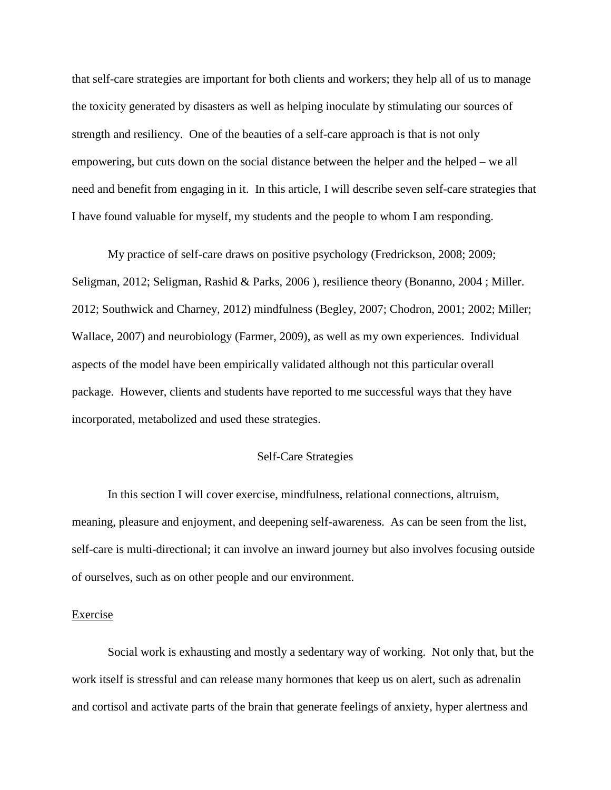that self-care strategies are important for both clients and workers; they help all of us to manage the toxicity generated by disasters as well as helping inoculate by stimulating our sources of strength and resiliency. One of the beauties of a self-care approach is that is not only empowering, but cuts down on the social distance between the helper and the helped – we all need and benefit from engaging in it. In this article, I will describe seven self-care strategies that I have found valuable for myself, my students and the people to whom I am responding.

My practice of self-care draws on positive psychology (Fredrickson, 2008; 2009; Seligman, 2012; Seligman, Rashid & Parks, 2006 ), resilience theory (Bonanno, 2004 ; Miller. 2012; Southwick and Charney, 2012) mindfulness (Begley, 2007; Chodron, 2001; 2002; Miller; Wallace, 2007) and neurobiology (Farmer, 2009), as well as my own experiences. Individual aspects of the model have been empirically validated although not this particular overall package. However, clients and students have reported to me successful ways that they have incorporated, metabolized and used these strategies.

#### Self-Care Strategies

In this section I will cover exercise, mindfulness, relational connections, altruism, meaning, pleasure and enjoyment, and deepening self-awareness. As can be seen from the list, self-care is multi-directional; it can involve an inward journey but also involves focusing outside of ourselves, such as on other people and our environment.

# Exercise

Social work is exhausting and mostly a sedentary way of working. Not only that, but the work itself is stressful and can release many hormones that keep us on alert, such as adrenalin and cortisol and activate parts of the brain that generate feelings of anxiety, hyper alertness and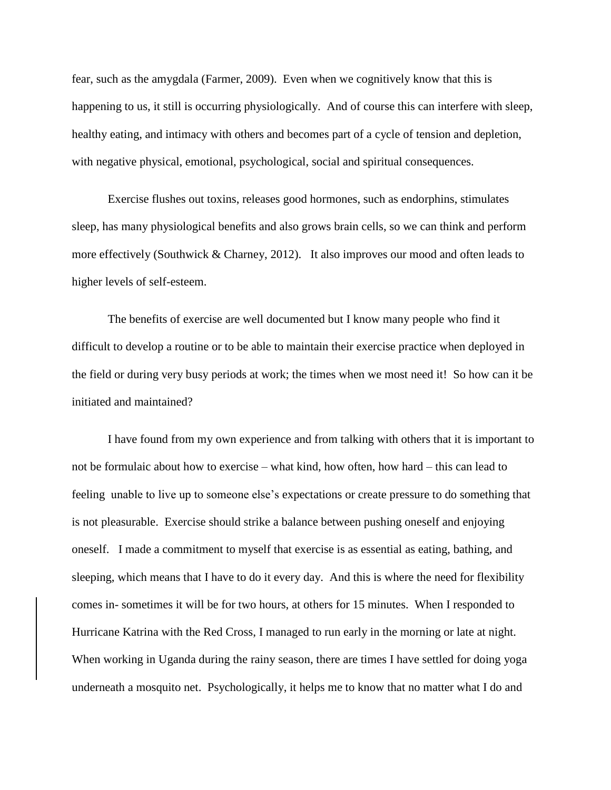fear, such as the amygdala (Farmer, 2009). Even when we cognitively know that this is happening to us, it still is occurring physiologically. And of course this can interfere with sleep, healthy eating, and intimacy with others and becomes part of a cycle of tension and depletion, with negative physical, emotional, psychological, social and spiritual consequences.

Exercise flushes out toxins, releases good hormones, such as endorphins, stimulates sleep, has many physiological benefits and also grows brain cells, so we can think and perform more effectively (Southwick & Charney, 2012). It also improves our mood and often leads to higher levels of self-esteem.

The benefits of exercise are well documented but I know many people who find it difficult to develop a routine or to be able to maintain their exercise practice when deployed in the field or during very busy periods at work; the times when we most need it! So how can it be initiated and maintained?

I have found from my own experience and from talking with others that it is important to not be formulaic about how to exercise – what kind, how often, how hard – this can lead to feeling unable to live up to someone else's expectations or create pressure to do something that is not pleasurable. Exercise should strike a balance between pushing oneself and enjoying oneself. I made a commitment to myself that exercise is as essential as eating, bathing, and sleeping, which means that I have to do it every day. And this is where the need for flexibility comes in- sometimes it will be for two hours, at others for 15 minutes. When I responded to Hurricane Katrina with the Red Cross, I managed to run early in the morning or late at night. When working in Uganda during the rainy season, there are times I have settled for doing yoga underneath a mosquito net. Psychologically, it helps me to know that no matter what I do and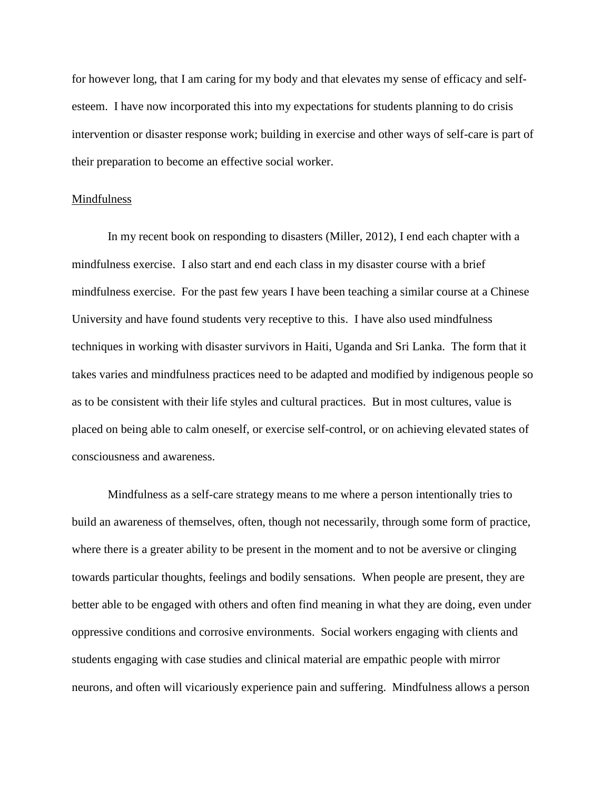for however long, that I am caring for my body and that elevates my sense of efficacy and selfesteem. I have now incorporated this into my expectations for students planning to do crisis intervention or disaster response work; building in exercise and other ways of self-care is part of their preparation to become an effective social worker.

#### Mindfulness

In my recent book on responding to disasters (Miller, 2012), I end each chapter with a mindfulness exercise. I also start and end each class in my disaster course with a brief mindfulness exercise. For the past few years I have been teaching a similar course at a Chinese University and have found students very receptive to this. I have also used mindfulness techniques in working with disaster survivors in Haiti, Uganda and Sri Lanka. The form that it takes varies and mindfulness practices need to be adapted and modified by indigenous people so as to be consistent with their life styles and cultural practices. But in most cultures, value is placed on being able to calm oneself, or exercise self-control, or on achieving elevated states of consciousness and awareness.

Mindfulness as a self-care strategy means to me where a person intentionally tries to build an awareness of themselves, often, though not necessarily, through some form of practice, where there is a greater ability to be present in the moment and to not be aversive or clinging towards particular thoughts, feelings and bodily sensations. When people are present, they are better able to be engaged with others and often find meaning in what they are doing, even under oppressive conditions and corrosive environments. Social workers engaging with clients and students engaging with case studies and clinical material are empathic people with mirror neurons, and often will vicariously experience pain and suffering. Mindfulness allows a person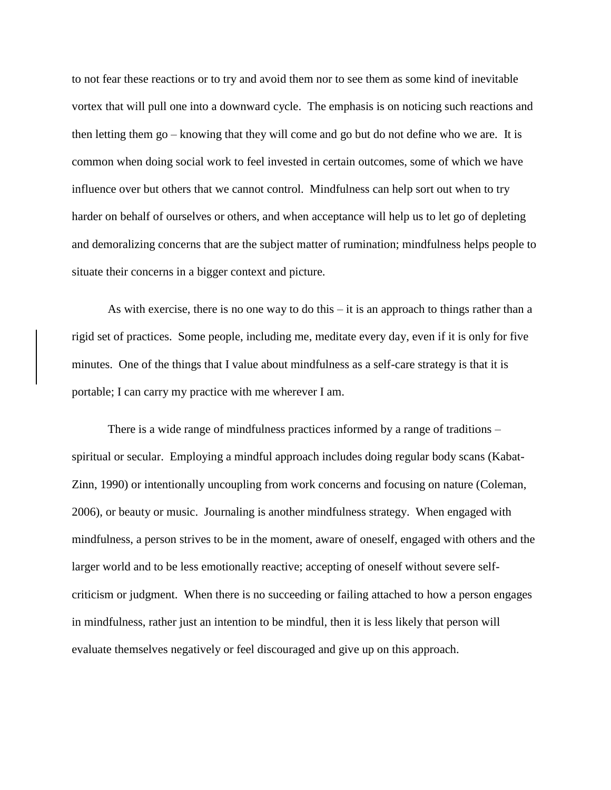to not fear these reactions or to try and avoid them nor to see them as some kind of inevitable vortex that will pull one into a downward cycle. The emphasis is on noticing such reactions and then letting them go – knowing that they will come and go but do not define who we are. It is common when doing social work to feel invested in certain outcomes, some of which we have influence over but others that we cannot control. Mindfulness can help sort out when to try harder on behalf of ourselves or others, and when acceptance will help us to let go of depleting and demoralizing concerns that are the subject matter of rumination; mindfulness helps people to situate their concerns in a bigger context and picture.

As with exercise, there is no one way to do this  $-$  it is an approach to things rather than a rigid set of practices. Some people, including me, meditate every day, even if it is only for five minutes. One of the things that I value about mindfulness as a self-care strategy is that it is portable; I can carry my practice with me wherever I am.

There is a wide range of mindfulness practices informed by a range of traditions – spiritual or secular. Employing a mindful approach includes doing regular body scans (Kabat-Zinn, 1990) or intentionally uncoupling from work concerns and focusing on nature (Coleman, 2006), or beauty or music. Journaling is another mindfulness strategy. When engaged with mindfulness, a person strives to be in the moment, aware of oneself, engaged with others and the larger world and to be less emotionally reactive; accepting of oneself without severe selfcriticism or judgment. When there is no succeeding or failing attached to how a person engages in mindfulness, rather just an intention to be mindful, then it is less likely that person will evaluate themselves negatively or feel discouraged and give up on this approach.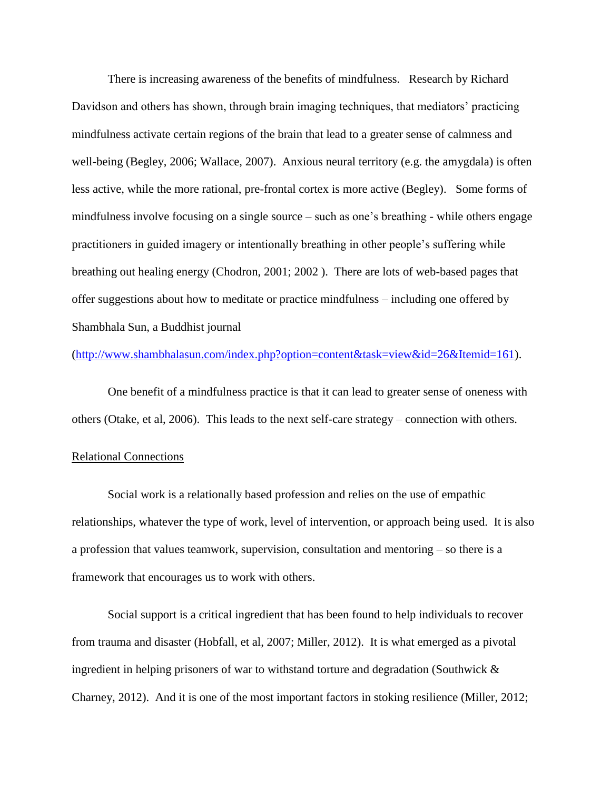There is increasing awareness of the benefits of mindfulness. Research by Richard Davidson and others has shown, through brain imaging techniques, that mediators' practicing mindfulness activate certain regions of the brain that lead to a greater sense of calmness and well-being (Begley, 2006; Wallace, 2007). Anxious neural territory (e.g. the amygdala) is often less active, while the more rational, pre-frontal cortex is more active (Begley). Some forms of mindfulness involve focusing on a single source – such as one's breathing - while others engage practitioners in guided imagery or intentionally breathing in other people's suffering while breathing out healing energy (Chodron, 2001; 2002 ). There are lots of web-based pages that offer suggestions about how to meditate or practice mindfulness – including one offered by Shambhala Sun, a Buddhist journal

#### [\(http://www.shambhalasun.com/index.php?option=content&task=view&id=26&Itemid=161\)](http://www.shambhalasun.com/index.php?option=content&task=view&id=26&Itemid=161).

One benefit of a mindfulness practice is that it can lead to greater sense of oneness with others (Otake, et al, 2006). This leads to the next self-care strategy – connection with others.

#### Relational Connections

Social work is a relationally based profession and relies on the use of empathic relationships, whatever the type of work, level of intervention, or approach being used. It is also a profession that values teamwork, supervision, consultation and mentoring – so there is a framework that encourages us to work with others.

Social support is a critical ingredient that has been found to help individuals to recover from trauma and disaster (Hobfall, et al, 2007; Miller, 2012). It is what emerged as a pivotal ingredient in helping prisoners of war to withstand torture and degradation (Southwick & Charney, 2012). And it is one of the most important factors in stoking resilience (Miller, 2012;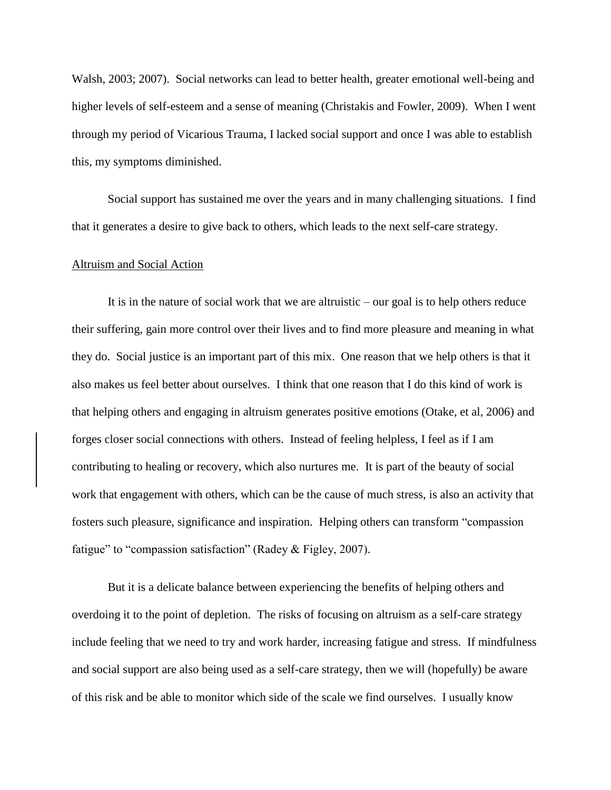Walsh, 2003; 2007). Social networks can lead to better health, greater emotional well-being and higher levels of self-esteem and a sense of meaning (Christakis and Fowler, 2009). When I went through my period of Vicarious Trauma, I lacked social support and once I was able to establish this, my symptoms diminished.

Social support has sustained me over the years and in many challenging situations. I find that it generates a desire to give back to others, which leads to the next self-care strategy.

#### Altruism and Social Action

It is in the nature of social work that we are altruistic  $-$  our goal is to help others reduce their suffering, gain more control over their lives and to find more pleasure and meaning in what they do. Social justice is an important part of this mix. One reason that we help others is that it also makes us feel better about ourselves. I think that one reason that I do this kind of work is that helping others and engaging in altruism generates positive emotions (Otake, et al, 2006) and forges closer social connections with others. Instead of feeling helpless, I feel as if I am contributing to healing or recovery, which also nurtures me. It is part of the beauty of social work that engagement with others, which can be the cause of much stress, is also an activity that fosters such pleasure, significance and inspiration. Helping others can transform "compassion fatigue" to "compassion satisfaction" (Radey & Figley, 2007).

But it is a delicate balance between experiencing the benefits of helping others and overdoing it to the point of depletion. The risks of focusing on altruism as a self-care strategy include feeling that we need to try and work harder, increasing fatigue and stress. If mindfulness and social support are also being used as a self-care strategy, then we will (hopefully) be aware of this risk and be able to monitor which side of the scale we find ourselves. I usually know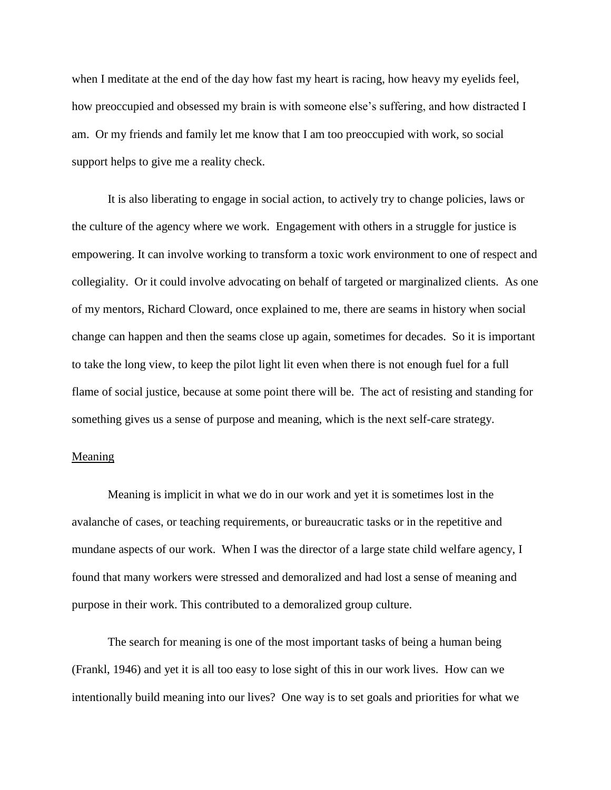when I meditate at the end of the day how fast my heart is racing, how heavy my eyelids feel, how preoccupied and obsessed my brain is with someone else's suffering, and how distracted I am. Or my friends and family let me know that I am too preoccupied with work, so social support helps to give me a reality check.

It is also liberating to engage in social action, to actively try to change policies, laws or the culture of the agency where we work. Engagement with others in a struggle for justice is empowering. It can involve working to transform a toxic work environment to one of respect and collegiality. Or it could involve advocating on behalf of targeted or marginalized clients. As one of my mentors, Richard Cloward, once explained to me, there are seams in history when social change can happen and then the seams close up again, sometimes for decades. So it is important to take the long view, to keep the pilot light lit even when there is not enough fuel for a full flame of social justice, because at some point there will be. The act of resisting and standing for something gives us a sense of purpose and meaning, which is the next self-care strategy.

#### Meaning

Meaning is implicit in what we do in our work and yet it is sometimes lost in the avalanche of cases, or teaching requirements, or bureaucratic tasks or in the repetitive and mundane aspects of our work. When I was the director of a large state child welfare agency, I found that many workers were stressed and demoralized and had lost a sense of meaning and purpose in their work. This contributed to a demoralized group culture.

The search for meaning is one of the most important tasks of being a human being (Frankl, 1946) and yet it is all too easy to lose sight of this in our work lives. How can we intentionally build meaning into our lives? One way is to set goals and priorities for what we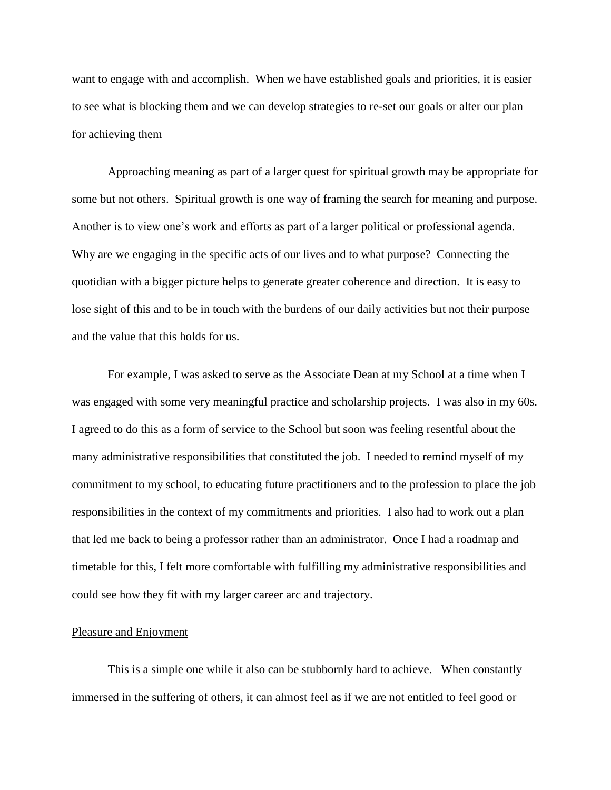want to engage with and accomplish. When we have established goals and priorities, it is easier to see what is blocking them and we can develop strategies to re-set our goals or alter our plan for achieving them

Approaching meaning as part of a larger quest for spiritual growth may be appropriate for some but not others. Spiritual growth is one way of framing the search for meaning and purpose. Another is to view one's work and efforts as part of a larger political or professional agenda. Why are we engaging in the specific acts of our lives and to what purpose? Connecting the quotidian with a bigger picture helps to generate greater coherence and direction. It is easy to lose sight of this and to be in touch with the burdens of our daily activities but not their purpose and the value that this holds for us.

For example, I was asked to serve as the Associate Dean at my School at a time when I was engaged with some very meaningful practice and scholarship projects. I was also in my 60s. I agreed to do this as a form of service to the School but soon was feeling resentful about the many administrative responsibilities that constituted the job. I needed to remind myself of my commitment to my school, to educating future practitioners and to the profession to place the job responsibilities in the context of my commitments and priorities. I also had to work out a plan that led me back to being a professor rather than an administrator. Once I had a roadmap and timetable for this, I felt more comfortable with fulfilling my administrative responsibilities and could see how they fit with my larger career arc and trajectory.

## Pleasure and Enjoyment

This is a simple one while it also can be stubbornly hard to achieve. When constantly immersed in the suffering of others, it can almost feel as if we are not entitled to feel good or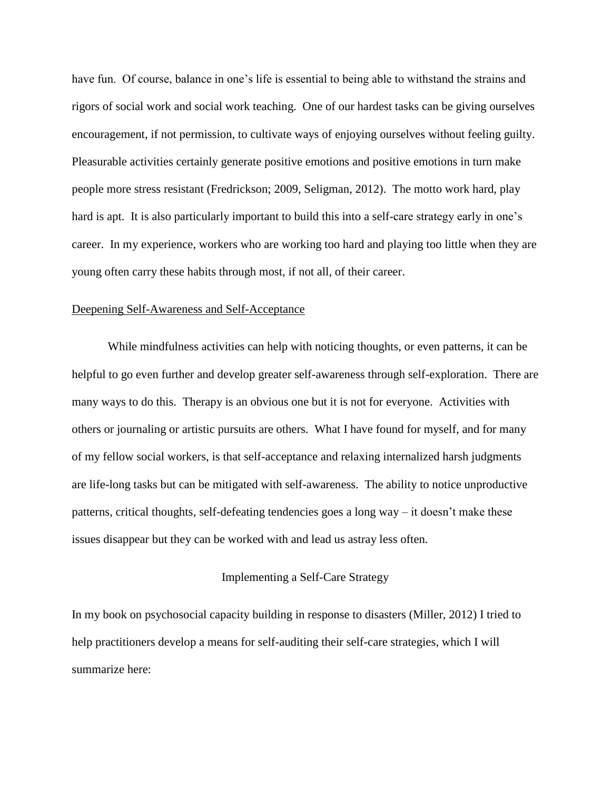have fun. Of course, balance in one's life is essential to being able to withstand the strains and rigors of social work and social work teaching. One of our hardest tasks can be giving ourselves encouragement, if not permission, to cultivate ways of enjoying ourselves without feeling guilty. Pleasurable activities certainly generate positive emotions and positive emotions in turn make people more stress resistant (Fredrickson; 2009, Seligman, 2012). The motto work hard, play hard is apt. It is also particularly important to build this into a self-care strategy early in one's career. In my experience, workers who are working too hard and playing too little when they are young often carry these habits through most, if not all, of their career.

## Deepening Self-Awareness and Self-Acceptance

While mindfulness activities can help with noticing thoughts, or even patterns, it can be helpful to go even further and develop greater self-awareness through self-exploration. There are many ways to do this. Therapy is an obvious one but it is not for everyone. Activities with others or journaling or artistic pursuits are others. What I have found for myself, and for many of my fellow social workers, is that self-acceptance and relaxing internalized harsh judgments are life-long tasks but can be mitigated with self-awareness. The ability to notice unproductive patterns, critical thoughts, self-defeating tendencies goes a long way – it doesn't make these issues disappear but they can be worked with and lead us astray less often.

# Implementing a Self-Care Strategy

In my book on psychosocial capacity building in response to disasters (Miller, 2012) I tried to help practitioners develop a means for self-auditing their self-care strategies, which I will summarize here: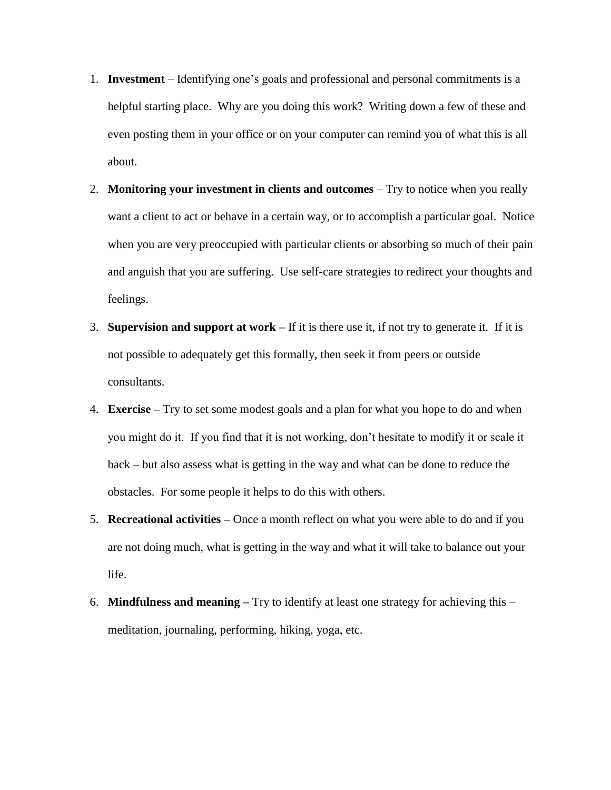- 1. **Investment**  Identifying one's goals and professional and personal commitments is a helpful starting place. Why are you doing this work? Writing down a few of these and even posting them in your office or on your computer can remind you of what this is all about.
- 2. **Monitoring your investment in clients and outcomes** Try to notice when you really want a client to act or behave in a certain way, or to accomplish a particular goal. Notice when you are very preoccupied with particular clients or absorbing so much of their pain and anguish that you are suffering. Use self-care strategies to redirect your thoughts and feelings.
- 3. **Supervision and support at work –** If it is there use it, if not try to generate it. If it is not possible to adequately get this formally, then seek it from peers or outside consultants.
- 4. **Exercise –** Try to set some modest goals and a plan for what you hope to do and when you might do it. If you find that it is not working, don't hesitate to modify it or scale it back – but also assess what is getting in the way and what can be done to reduce the obstacles. For some people it helps to do this with others.
- 5. **Recreational activities –** Once a month reflect on what you were able to do and if you are not doing much, what is getting in the way and what it will take to balance out your life.
- 6. **Mindfulness and meaning –** Try to identify at least one strategy for achieving this meditation, journaling, performing, hiking, yoga, etc.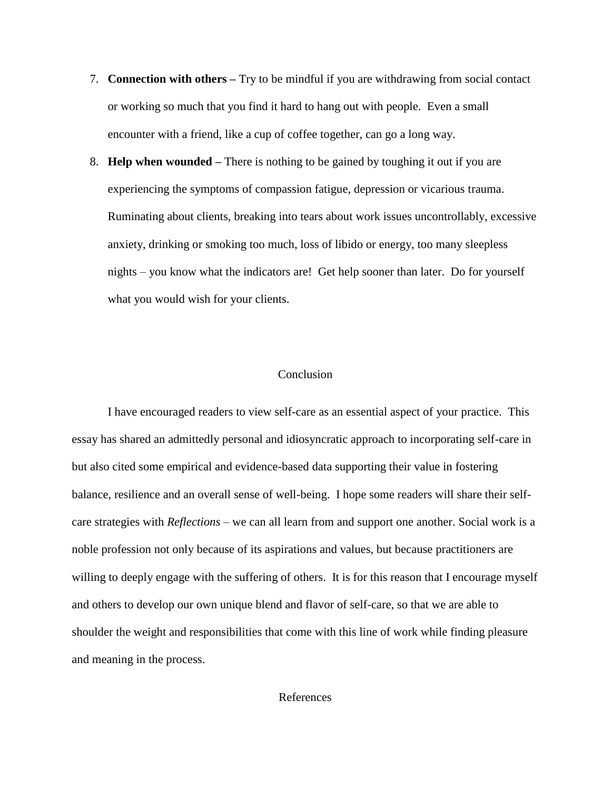- 7. **Connection with others –** Try to be mindful if you are withdrawing from social contact or working so much that you find it hard to hang out with people. Even a small encounter with a friend, like a cup of coffee together, can go a long way.
- 8. **Help when wounded –** There is nothing to be gained by toughing it out if you are experiencing the symptoms of compassion fatigue, depression or vicarious trauma. Ruminating about clients, breaking into tears about work issues uncontrollably, excessive anxiety, drinking or smoking too much, loss of libido or energy, too many sleepless nights – you know what the indicators are! Get help sooner than later. Do for yourself what you would wish for your clients.

# Conclusion

I have encouraged readers to view self-care as an essential aspect of your practice. This essay has shared an admittedly personal and idiosyncratic approach to incorporating self-care in but also cited some empirical and evidence-based data supporting their value in fostering balance, resilience and an overall sense of well-being. I hope some readers will share their selfcare strategies with *Reflections* – we can all learn from and support one another. Social work is a noble profession not only because of its aspirations and values, but because practitioners are willing to deeply engage with the suffering of others. It is for this reason that I encourage myself and others to develop our own unique blend and flavor of self-care, so that we are able to shoulder the weight and responsibilities that come with this line of work while finding pleasure and meaning in the process.

# References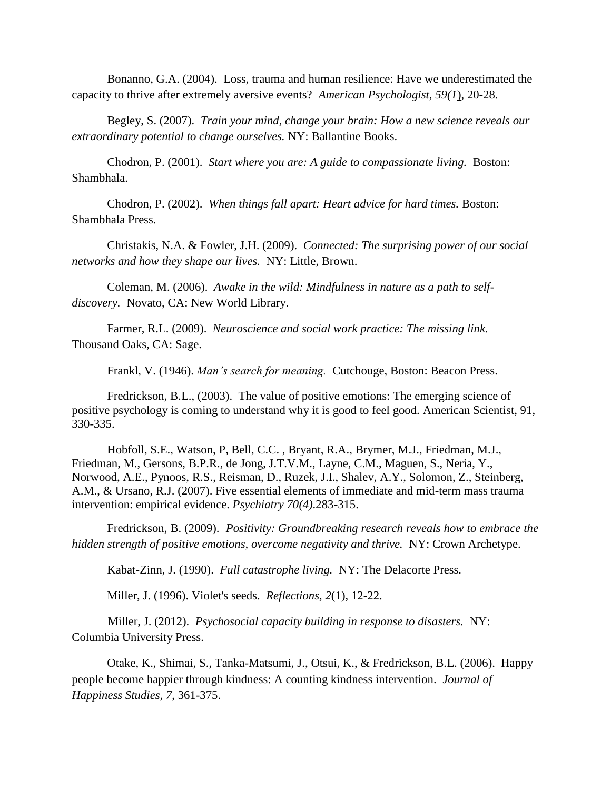Bonanno, G.A. (2004). Loss, trauma and human resilience: Have we underestimated the capacity to thrive after extremely aversive events? *American Psychologist, 59(1*), 20-28.

Begley, S. (2007). *Train your mind, change your brain: How a new science reveals our extraordinary potential to change ourselves.* NY: Ballantine Books.

Chodron, P. (2001). *Start where you are: A guide to compassionate living.* Boston: Shambhala.

Chodron, P. (2002). *When things fall apart: Heart advice for hard times.* Boston: Shambhala Press.

Christakis, N.A. & Fowler, J.H. (2009). *Connected: The surprising power of our social networks and how they shape our lives.* NY: Little, Brown.

Coleman, M. (2006). *Awake in the wild: Mindfulness in nature as a path to selfdiscovery.* Novato, CA: New World Library.

Farmer, R.L. (2009). *Neuroscience and social work practice: The missing link.* Thousand Oaks, CA: Sage.

Frankl, V. (1946). *Man's search for meaning.* Cutchouge, Boston: Beacon Press.

Fredrickson, B.L., (2003). The value of positive emotions: The emerging science of positive psychology is coming to understand why it is good to feel good. American Scientist, 91, 330-335.

Hobfoll, S.E., Watson, P, Bell, C.C. , Bryant, R.A., Brymer, M.J., Friedman, M.J., Friedman, M., Gersons, B.P.R., de Jong, J.T.V.M., Layne, C.M., Maguen, S., Neria, Y., Norwood, A.E., Pynoos, R.S., Reisman, D., Ruzek, J.I., Shalev, A.Y., Solomon, Z., Steinberg, A.M., & Ursano, R.J. (2007). Five essential elements of immediate and mid-term mass trauma intervention: empirical evidence. *Psychiatry 70(4)*.283-315.

Fredrickson, B. (2009). *Positivity: Groundbreaking research reveals how to embrace the hidden strength of positive emotions, overcome negativity and thrive.* NY: Crown Archetype.

Kabat-Zinn, J. (1990). *Full catastrophe living.* NY: The Delacorte Press.

Miller, J. (1996). Violet's seeds. *Reflections, 2*(1), 12-22.

Miller, J. (2012). *Psychosocial capacity building in response to disasters.* NY: Columbia University Press.

Otake, K., Shimai, S., Tanka-Matsumi, J., Otsui, K., & Fredrickson, B.L. (2006). Happy people become happier through kindness: A counting kindness intervention. *Journal of Happiness Studies, 7*, 361-375.